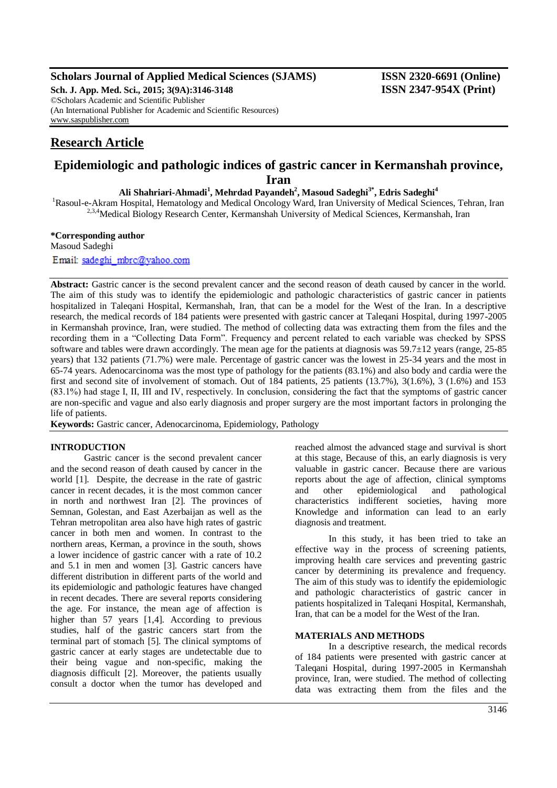### **Scholars Journal of Applied Medical Sciences (SJAMS) ISSN 2320-6691 (Online)**

**Sch. J. App. Med. Sci., 2015; 3(9A):3146-3148 ISSN 2347-954X (Print)** ©Scholars Academic and Scientific Publisher (An International Publisher for Academic and Scientific Resources) [www.saspublisher.com](http://www.saspublisher.com/)

# **Research Article**

## **Epidemiologic and pathologic indices of gastric cancer in Kermanshah province, Iran**

**Ali Shahriari-Ahmadi<sup>1</sup> , Mehrdad Payandeh<sup>2</sup> , Masoud Sadeghi3\* , Edris Sadeghi<sup>4</sup>**

<sup>1</sup>Rasoul-e-Akram Hospital, Hematology and Medical Oncology Ward, Iran University of Medical Sciences, Tehran, Iran <sup>2,3,4</sup>Medical Biology Research Center, Kermanshah University of Medical Sciences, Kermanshah, Iran

#### **\*Corresponding author**

Masoud Sadeghi

Email: sadeghi mbrc@yahoo.com

**Abstract:** Gastric cancer is the second prevalent cancer and the second reason of death caused by cancer in the world. The aim of this study was to identify the epidemiologic and pathologic characteristics of gastric cancer in patients hospitalized in Taleqani Hospital, Kermanshah, Iran, that can be a model for the West of the Iran. In a descriptive research, the medical records of 184 patients were presented with gastric cancer at Taleqani Hospital, during 1997-2005 in Kermanshah province, Iran, were studied. The method of collecting data was extracting them from the files and the recording them in a "Collecting Data Form". Frequency and percent related to each variable was checked by SPSS software and tables were drawn accordingly. The mean age for the patients at diagnosis was 59.7±12 years (range, 25-85 years) that 132 patients (71.7%) were male. Percentage of gastric cancer was the lowest in 25-34 years and the most in 65-74 years. Adenocarcinoma was the most type of pathology for the patients (83.1%) and also body and cardia were the first and second site of involvement of stomach. Out of 184 patients, 25 patients (13.7%), 3(1.6%), 3 (1.6%) and 153 (83.1%) had stage І, ІІ, ІІІ and ІV, respectively. In conclusion, considering the fact that the symptoms of gastric cancer are non-specific and vague and also early diagnosis and proper surgery are the most important factors in prolonging the life of patients.

**Keywords:** Gastric cancer, Adenocarcinoma, Epidemiology, Pathology

#### **INTRODUCTION**

Gastric cancer is the second prevalent cancer and the second reason of death caused by cancer in the world [1]. Despite, the decrease in the rate of gastric cancer in recent decades, it is the most common cancer in north and northwest Iran [2]. The provinces of Semnan, Golestan, and East Azerbaijan as well as the Tehran metropolitan area also have high rates of gastric cancer in both men and women. In contrast to the northern areas, Kerman, a province in the south, shows a lower incidence of gastric cancer with a rate of 10.2 and 5.1 in men and women [3]. Gastric cancers have different distribution in different parts of the world and its epidemiologic and pathologic features have changed in recent decades. There are several reports considering the age. For instance, the mean age of affection is higher than 57 years [1,4]. According to previous studies, half of the gastric cancers start from the terminal part of stomach [5]. The clinical symptoms of gastric cancer at early stages are undetectable due to their being vague and non-specific, making the diagnosis difficult [2]. Moreover, the patients usually consult a doctor when the tumor has developed and

reached almost the advanced stage and survival is short at this stage, Because of this, an early diagnosis is very valuable in gastric cancer. Because there are various reports about the age of affection, clinical symptoms and other epidemiological and pathological characteristics indifferent societies, having more Knowledge and information can lead to an early diagnosis and treatment.

In this study, it has been tried to take an effective way in the process of screening patients, improving health care services and preventing gastric cancer by determining its prevalence and frequency. The aim of this study was to identify the epidemiologic and pathologic characteristics of gastric cancer in patients hospitalized in Taleqani Hospital, Kermanshah, Iran, that can be a model for the West of the Iran.

#### **MATERIALS AND METHODS**

In a descriptive research, the medical records of 184 patients were presented with gastric cancer at Taleqani Hospital, during 1997-2005 in Kermanshah province, Iran, were studied. The method of collecting data was extracting them from the files and the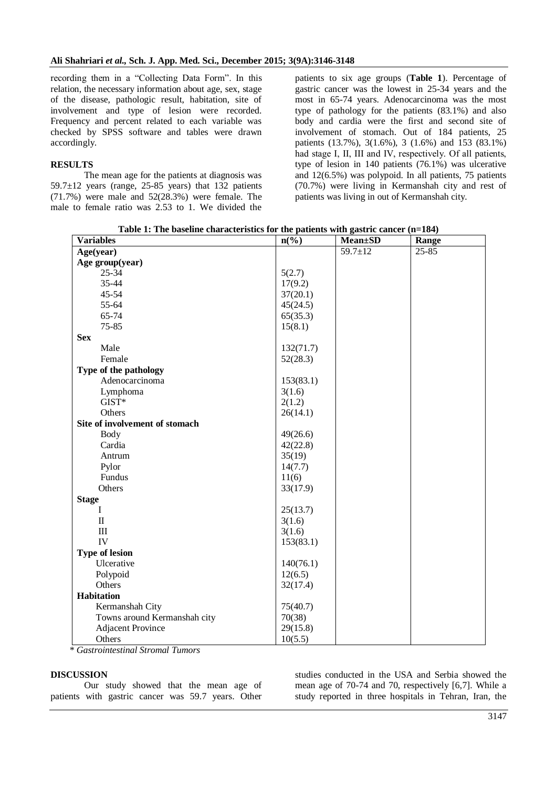recording them in a "Collecting Data Form". In this relation, the necessary information about age, sex, stage of the disease, pathologic result, habitation, site of involvement and type of lesion were recorded. Frequency and percent related to each variable was checked by SPSS software and tables were drawn accordingly.

#### **RESULTS**

The mean age for the patients at diagnosis was 59.7 $\pm$ 12 years (range, 25-85 years) that 132 patients (71.7%) were male and 52(28.3%) were female. The male to female ratio was 2.53 to 1. We divided the

patients to six age groups (**Table 1**). Percentage of gastric cancer was the lowest in 25-34 years and the most in 65-74 years. Adenocarcinoma was the most type of pathology for the patients (83.1%) and also body and cardia were the first and second site of involvement of stomach. Out of 184 patients, 25 patients (13.7%), 3(1.6%), 3 (1.6%) and 153 (83.1%) had stage I, II, III and IV, respectively. Of all patients, type of lesion in 140 patients (76.1%) was ulcerative and 12(6.5%) was polypoid. In all patients, 75 patients (70.7%) were living in Kermanshah city and rest of patients was living in out of Kermanshah city.

**Table 1: The baseline characteristics for the patients with gastric cancer (n=184)**

| <b>Variables</b>               | $n\left(\frac{0}{0}\right)$ | <b>Mean</b> ±SD | Range     |
|--------------------------------|-----------------------------|-----------------|-----------|
| Age(year)                      |                             | $59.7 \pm 12$   | $25 - 85$ |
| Age group(year)                |                             |                 |           |
| $25 - 34$                      | 5(2.7)                      |                 |           |
| 35-44                          | 17(9.2)                     |                 |           |
| 45-54                          | 37(20.1)                    |                 |           |
| 55-64                          | 45(24.5)                    |                 |           |
| 65-74                          | 65(35.3)                    |                 |           |
| $75 - 85$                      | 15(8.1)                     |                 |           |
| <b>Sex</b>                     |                             |                 |           |
| Male                           | 132(71.7)                   |                 |           |
| Female                         | 52(28.3)                    |                 |           |
| Type of the pathology          |                             |                 |           |
| Adenocarcinoma                 | 153(83.1)                   |                 |           |
| Lymphoma                       | 3(1.6)                      |                 |           |
| GIST*                          | 2(1.2)                      |                 |           |
| Others                         | 26(14.1)                    |                 |           |
| Site of involvement of stomach |                             |                 |           |
| <b>Body</b>                    | 49(26.6)                    |                 |           |
| Cardia                         | 42(22.8)                    |                 |           |
| Antrum                         | 35(19)                      |                 |           |
| Pylor                          | 14(7.7)                     |                 |           |
| Fundus                         | 11(6)                       |                 |           |
| Others                         | 33(17.9)                    |                 |           |
| <b>Stage</b>                   |                             |                 |           |
| Ι                              | 25(13.7)                    |                 |           |
| $\rm II$                       | 3(1.6)                      |                 |           |
| III                            | 3(1.6)                      |                 |           |
| IV                             | 153(83.1)                   |                 |           |
| <b>Type of lesion</b>          |                             |                 |           |
| Ulcerative                     | 140(76.1)                   |                 |           |
| Polypoid                       | 12(6.5)                     |                 |           |
| Others                         | 32(17.4)                    |                 |           |
| <b>Habitation</b>              |                             |                 |           |
| Kermanshah City                | 75(40.7)                    |                 |           |
| Towns around Kermanshah city   | 70(38)                      |                 |           |
| <b>Adjacent Province</b>       | 29(15.8)                    |                 |           |
| Others                         | 10(5.5)                     |                 |           |

*\* Gastrointestinal Stromal Tumors*

#### **DISCUSSION**

Our study showed that the mean age of patients with gastric cancer was 59.7 years. Other studies conducted in the USA and Serbia showed the mean age of 70-74 and 70, respectively [6,7]. While a study reported in three hospitals in Tehran, Iran, the